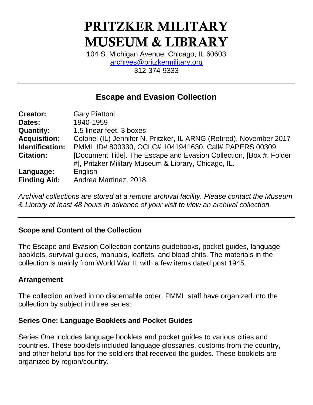# PRITZKER MILITARY MUSEUM & LIBRARY

104 S. Michigan Avenue, Chicago, IL 60603 [archives@pritzkermilitary.org](mailto:archives@pritzkermilitary.org) 312-374-9333

# **Escape and Evasion Collection**

| <b>Creator:</b>     | <b>Gary Piattoni</b>                                                 |
|---------------------|----------------------------------------------------------------------|
| Dates:              | 1940-1959                                                            |
| <b>Quantity:</b>    | 1.5 linear feet, 3 boxes                                             |
| <b>Acquisition:</b> | Colonel (IL) Jennifer N. Pritzker, IL ARNG (Retired), November 2017  |
| Identification:     | PMML ID# 800330, OCLC# 1041941630, Call# PAPERS 00309                |
| <b>Citation:</b>    | [Document Title]. The Escape and Evasion Collection, [Box #, Folder] |
|                     | #], Pritzker Military Museum & Library, Chicago, IL.                 |
| Language:           | English                                                              |
| <b>Finding Aid:</b> | Andrea Martinez, 2018                                                |

*Archival collections are stored at a remote archival facility. Please contact the Museum & Library at least 48 hours in advance of your visit to view an archival collection.*

## **Scope and Content of the Collection**

The Escape and Evasion Collection contains guidebooks, pocket guides, language booklets, survival guides, manuals, leaflets, and blood chits. The materials in the collection is mainly from World War II, with a few items dated post 1945.

## **Arrangement**

The collection arrived in no discernable order. PMML staff have organized into the collection by subject in three series:

## **Series One: Language Booklets and Pocket Guides**

Series One includes language booklets and pocket guides to various cities and countries. These booklets included language glossaries, customs from the country, and other helpful tips for the soldiers that received the guides. These booklets are organized by region/country.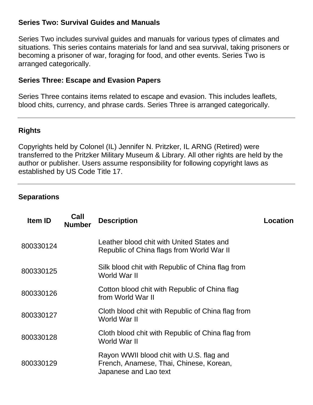#### **Series Two: Survival Guides and Manuals**

Series Two includes survival guides and manuals for various types of climates and situations. This series contains materials for land and sea survival, taking prisoners or becoming a prisoner of war, foraging for food, and other events. Series Two is arranged categorically.

#### **Series Three: Escape and Evasion Papers**

Series Three contains items related to escape and evasion. This includes leaflets, blood chits, currency, and phrase cards. Series Three is arranged categorically.

## **Rights**

Copyrights held by Colonel (IL) Jennifer N. Pritzker, IL ARNG (Retired) were transferred to the Pritzker Military Museum & Library. All other rights are held by the author or publisher. Users assume responsibility for following copyright laws as established by US Code Title 17.

#### **Separations**

| <b>Item ID</b> | Call<br><b>Number</b> | <b>Description</b>                                                                                           | <b>Location</b> |
|----------------|-----------------------|--------------------------------------------------------------------------------------------------------------|-----------------|
| 800330124      |                       | Leather blood chit with United States and<br>Republic of China flags from World War II                       |                 |
| 800330125      |                       | Silk blood chit with Republic of China flag from<br>World War II                                             |                 |
| 800330126      |                       | Cotton blood chit with Republic of China flag<br>from World War II                                           |                 |
| 800330127      |                       | Cloth blood chit with Republic of China flag from<br>World War II                                            |                 |
| 800330128      |                       | Cloth blood chit with Republic of China flag from<br>World War II                                            |                 |
| 800330129      |                       | Rayon WWII blood chit with U.S. flag and<br>French, Anamese, Thai, Chinese, Korean,<br>Japanese and Lao text |                 |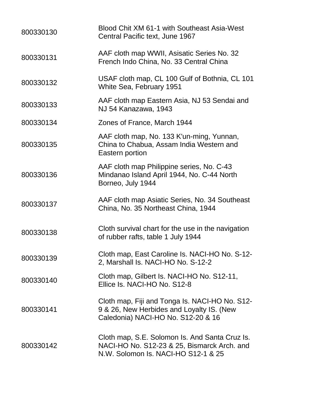| 800330130 | Blood Chit XM 61-1 with Southeast Asia-West<br>Central Pacific text, June 1967                                                       |
|-----------|--------------------------------------------------------------------------------------------------------------------------------------|
| 800330131 | AAF cloth map WWII, Asisatic Series No. 32<br>French Indo China, No. 33 Central China                                                |
| 800330132 | USAF cloth map, CL 100 Gulf of Bothnia, CL 101<br>White Sea, February 1951                                                           |
| 800330133 | AAF cloth map Eastern Asia, NJ 53 Sendai and<br>NJ 54 Kanazawa, 1943                                                                 |
| 800330134 | Zones of France, March 1944                                                                                                          |
| 800330135 | AAF cloth map, No. 133 K'un-ming, Yunnan,<br>China to Chabua, Assam India Western and<br>Eastern portion                             |
| 800330136 | AAF cloth map Philippine series, No. C-43<br>Mindanao Island April 1944, No. C-44 North<br>Borneo, July 1944                         |
| 800330137 | AAF cloth map Asiatic Series, No. 34 Southeast<br>China, No. 35 Northeast China, 1944                                                |
| 800330138 | Cloth survival chart for the use in the navigation<br>of rubber rafts, table 1 July 1944                                             |
| 800330139 | Cloth map, East Caroline Is. NACI-HO No. S-12-<br>2, Marshall Is. NACI-HO No. S-12-2                                                 |
| 800330140 | Cloth map, Gilbert Is. NACI-HO No. S12-11,<br>Ellice Is. NACI-HO No. S12-8                                                           |
| 800330141 | Cloth map, Fiji and Tonga Is. NACI-HO No. S12-<br>9 & 26, New Herbides and Loyalty IS. (New<br>Caledonia) NACI-HO No. S12-20 & 16    |
| 800330142 | Cloth map, S.E. Solomon Is. And Santa Cruz Is.<br>NACI-HO No. S12-23 & 25, Bismarck Arch. and<br>N.W. Solomon Is. NACI-HO S12-1 & 25 |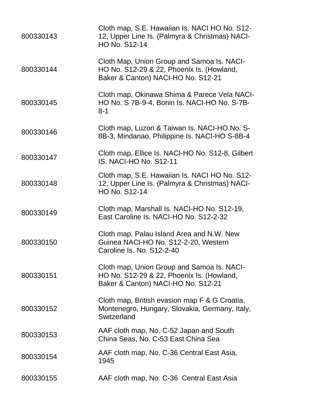| 800330143 | Cloth map, S.E. Hawaiian Is. NACI HO No. S12-<br>12, Upper Line Is. (Palmyra & Christmas) NACI-<br>HO No. S12-14              |
|-----------|-------------------------------------------------------------------------------------------------------------------------------|
| 800330144 | Cloth Map, Union Group and Samoa Is. NACI-<br>HO No. S12-29 & 22, Phoenix Is. (Howland,<br>Baker & Canton) NACI-HO No. S12-21 |
| 800330145 | Cloth map, Okinawa Shima & Parece Vela NACI-<br>HO No. S 7B-9-4, Bonin Is. NACI-HO No. S-7B-<br>$8 - 1$                       |
| 800330146 | Cloth map, Luzon & Taiwan Is. NACI-HO No. S-<br>8B-3, Mindanao, Philippine Is. NACI-HO S-8B-4                                 |
| 800330147 | Cloth map, Ellice Is. NACI-HO No. S12-8, Gilbert<br>IS. NACI-HO No. S12-11                                                    |
| 800330148 | Cloth map, S.E. Hawaiian Is. NACI HO No. S12-<br>12, Upper Line Is. (Palmyra & Christmas) NACI-<br><b>HO No. S12-14</b>       |
| 800330149 | Cloth map, Marshall Is. NACI-HO No. S12-19,<br>East Caroline Is. NACI-HO No. S12-2-32                                         |
| 800330150 | Cloth map, Palau Island Area and N.W. New<br>Guinea NACI-HO No. S12-2-20, Western<br>Caroline Is. No. S12-2-40                |
| 800330151 | Cloth map, Union Group and Samoa Is. NACI-<br>HO No. S12-29 & 22, Phoenix Is. (Howland,<br>Baker & Canton) NACI-HO No. S12-21 |
| 800330152 | Cloth map, British evasion map F & G Croatia,<br>Montenegro, Hungary, Slovakia, Germany, Italy,<br>Switzerland                |
| 800330153 | AAF cloth map, No. C-52 Japan and South<br>China Seas, No. C-53 East China Sea                                                |
| 800330154 | AAF cloth map, No. C-36 Central East Asia,<br>1945                                                                            |
| 800330155 | AAF cloth map, No. C-36 Central East Asia                                                                                     |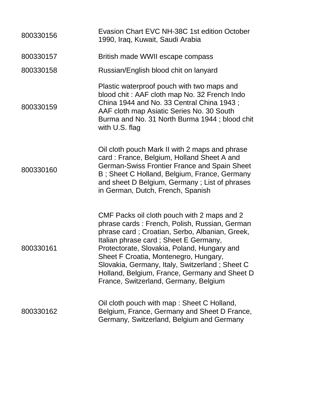| 800330156 | Evasion Chart EVC NH-38C 1st edition October<br>1990, Iraq, Kuwait, Saudi Arabia                                                                                                                                                                                                                                                                                                                                            |
|-----------|-----------------------------------------------------------------------------------------------------------------------------------------------------------------------------------------------------------------------------------------------------------------------------------------------------------------------------------------------------------------------------------------------------------------------------|
| 800330157 | British made WWII escape compass                                                                                                                                                                                                                                                                                                                                                                                            |
| 800330158 | Russian/English blood chit on lanyard                                                                                                                                                                                                                                                                                                                                                                                       |
| 800330159 | Plastic waterproof pouch with two maps and<br>blood chit: AAF cloth map No. 32 French Indo<br>China 1944 and No. 33 Central China 1943;<br>AAF cloth map Asiatic Series No. 30 South<br>Burma and No. 31 North Burma 1944; blood chit<br>with U.S. flag                                                                                                                                                                     |
| 800330160 | Oil cloth pouch Mark II with 2 maps and phrase<br>card: France, Belgium, Holland Sheet A and<br><b>German-Swiss Frontier France and Spain Sheet</b><br>B; Sheet C Holland, Belgium, France, Germany<br>and sheet D Belgium, Germany; List of phrases<br>in German, Dutch, French, Spanish                                                                                                                                   |
| 800330161 | CMF Packs oil cloth pouch with 2 maps and 2<br>phrase cards: French, Polish, Russian, German<br>phrase card; Croatian, Serbo, Albanian, Greek,<br>Italian phrase card; Sheet E Germany,<br>Protectorate, Slovakia, Poland, Hungary and<br>Sheet F Croatia, Montenegro, Hungary,<br>Slovakia, Germany, Italy, Switzerland; Sheet C<br>Holland, Belgium, France, Germany and Sheet D<br>France, Switzerland, Germany, Belgium |
| 800330162 | Oil cloth pouch with map: Sheet C Holland,<br>Belgium, France, Germany and Sheet D France,<br>Germany, Switzerland, Belgium and Germany                                                                                                                                                                                                                                                                                     |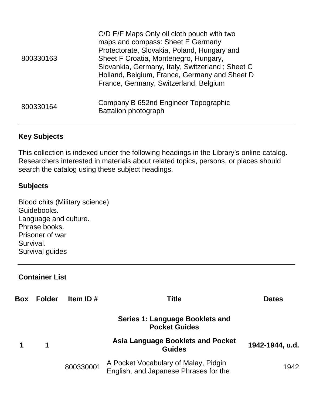| 800330163 | C/D E/F Maps Only oil cloth pouch with two<br>maps and compass: Sheet E Germany<br>Protectorate, Slovakia, Poland, Hungary and<br>Sheet F Croatia, Montenegro, Hungary,<br>Slovankia, Germany, Italy, Switzerland; Sheet C<br>Holland, Belgium, France, Germany and Sheet D<br>France, Germany, Switzerland, Belgium |
|-----------|----------------------------------------------------------------------------------------------------------------------------------------------------------------------------------------------------------------------------------------------------------------------------------------------------------------------|
| 800330164 | Company B 652nd Engineer Topographic<br><b>Battalion photograph</b>                                                                                                                                                                                                                                                  |

## **Key Subjects**

This collection is indexed under the following headings in the Library's online catalog. Researchers interested in materials about related topics, persons, or places should search the catalog using these subject headings.

#### **Subjects**

Blood chits (Military science) Guidebooks. Language and culture. Phrase books. Prisoner of war Survival. Survival guides

## **Container List**

| <b>Box</b> | <b>Folder</b> | Item ID#  | Title                                                                         | <b>Dates</b>    |
|------------|---------------|-----------|-------------------------------------------------------------------------------|-----------------|
|            |               |           | Series 1: Language Booklets and<br><b>Pocket Guides</b>                       |                 |
|            | $\mathbf 1$   |           | <b>Asia Language Booklets and Pocket</b><br><b>Guides</b>                     | 1942-1944, u.d. |
|            |               | 800330001 | A Pocket Vocabulary of Malay, Pidgin<br>English, and Japanese Phrases for the | 1942            |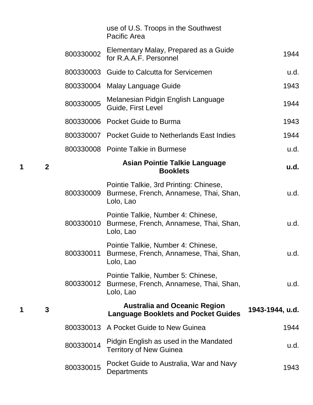|   |              |           | use of U.S. Troops in the Southwest<br><b>Pacific Area</b>                                    |                 |
|---|--------------|-----------|-----------------------------------------------------------------------------------------------|-----------------|
|   |              | 800330002 | Elementary Malay, Prepared as a Guide<br>for R.A.A.F. Personnel                               | 1944            |
|   |              |           | 800330003 Guide to Calcutta for Servicemen                                                    | u.d.            |
|   |              |           | 800330004 Malay Language Guide                                                                | 1943            |
|   |              | 800330005 | Melanesian Pidgin English Language<br>Guide, First Level                                      | 1944            |
|   |              |           | 800330006 Pocket Guide to Burma                                                               | 1943            |
|   |              |           | 800330007 Pocket Guide to Netherlands East Indies                                             | 1944            |
|   |              |           | 800330008 Pointe Talkie in Burmese                                                            | u.d.            |
| 1 | $\mathbf{2}$ |           | <b>Asian Pointie Talkie Language</b><br><b>Booklets</b>                                       | u.d.            |
|   |              | 800330009 | Pointie Talkie, 3rd Printing: Chinese,<br>Burmese, French, Annamese, Thai, Shan,<br>Lolo, Lao | u.d.            |
|   |              | 800330010 | Pointie Talkie, Number 4: Chinese,<br>Burmese, French, Annamese, Thai, Shan,<br>Lolo, Lao     | u.d.            |
|   |              | 800330011 | Pointie Talkie, Number 4: Chinese,<br>Burmese, French, Annamese, Thai, Shan,<br>Lolo, Lao     | u.d.            |
|   |              | 800330012 | Pointie Talkie, Number 5: Chinese,<br>Burmese, French, Annamese, Thai, Shan,<br>Lolo, Lao     | u.d.            |
| 1 | 3            |           | <b>Australia and Oceanic Region</b><br><b>Language Booklets and Pocket Guides</b>             | 1943-1944, u.d. |
|   |              |           | 800330013 A Pocket Guide to New Guinea                                                        | 1944            |
|   |              | 800330014 | Pidgin English as used in the Mandated<br><b>Territory of New Guinea</b>                      | u.d.            |
|   |              | 800330015 | Pocket Guide to Australia, War and Navy<br>Departments                                        | 1943            |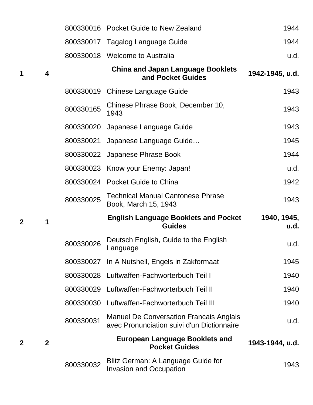|   |                |           | 800330016 Pocket Guide to New Zealand                                                        | 1944                |
|---|----------------|-----------|----------------------------------------------------------------------------------------------|---------------------|
|   |                | 800330017 | Tagalog Language Guide                                                                       | 1944                |
|   |                |           | 800330018 Welcome to Australia                                                               | u.d.                |
| 1 | 4              |           | <b>China and Japan Language Booklets</b><br>and Pocket Guides                                | 1942-1945, u.d.     |
|   |                | 800330019 | <b>Chinese Language Guide</b>                                                                | 1943                |
|   |                | 800330165 | Chinese Phrase Book, December 10,<br>1943                                                    | 1943                |
|   |                | 800330020 | Japanese Language Guide                                                                      | 1943                |
|   |                | 800330021 | Japanese Language Guide                                                                      | 1945                |
|   |                | 800330022 | Japanese Phrase Book                                                                         | 1944                |
|   |                | 800330023 | Know your Enemy: Japan!                                                                      | u.d.                |
|   |                |           | 800330024 Pocket Guide to China                                                              | 1942                |
|   |                |           | <b>Technical Manual Cantonese Phrase</b>                                                     |                     |
|   |                | 800330025 | Book, March 15, 1943                                                                         | 1943                |
| 2 | 1              |           | <b>English Language Booklets and Pocket</b><br><b>Guides</b>                                 | 1940, 1945,<br>u.d. |
|   |                | 800330026 | Deutsch English, Guide to the English<br>Language                                            | u.d.                |
|   |                |           | 800330027 In A Nutshell, Engels in Zakformaat                                                | 1945                |
|   |                |           | 800330028 Luftwaffen-Fachworterbuch Teil I                                                   | 1940                |
|   |                |           | 800330029 Luftwaffen-Fachworterbuch Teil II                                                  | 1940                |
|   |                |           | 800330030 Luftwaffen-Fachworterbuch Teil III                                                 | 1940                |
|   |                | 800330031 | <b>Manuel De Conversation Francais Anglais</b><br>avec Pronunciation suivi d'un Dictionnaire | u.d.                |
| 2 | $\overline{2}$ |           | <b>European Language Booklets and</b><br><b>Pocket Guides</b>                                | 1943-1944, u.d.     |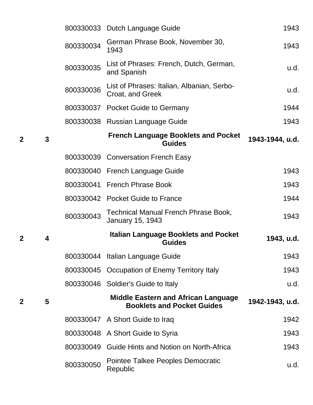|              |   |           | 800330033 Dutch Language Guide                                                  | 1943            |
|--------------|---|-----------|---------------------------------------------------------------------------------|-----------------|
|              |   | 800330034 | German Phrase Book, November 30,<br>1943                                        | 1943            |
|              |   | 800330035 | List of Phrases: French, Dutch, German,<br>and Spanish                          | u.d.            |
|              |   | 800330036 | List of Phrases: Italian, Albanian, Serbo-<br>Croat, and Greek                  | u.d.            |
|              |   | 800330037 | <b>Pocket Guide to Germany</b>                                                  | 1944            |
|              |   | 800330038 | <b>Russian Language Guide</b>                                                   | 1943            |
| $\mathbf 2$  | 3 |           | <b>French Language Booklets and Pocket</b><br><b>Guides</b>                     | 1943-1944, u.d. |
|              |   | 800330039 | <b>Conversation French Easy</b>                                                 |                 |
|              |   | 800330040 | <b>French Language Guide</b>                                                    | 1943            |
|              |   | 800330041 | <b>French Phrase Book</b>                                                       | 1943            |
|              |   |           | 800330042 Pocket Guide to France                                                | 1944            |
|              |   | 800330043 | <b>Technical Manual French Phrase Book,</b><br>January 15, 1943                 | 1943            |
| $\mathbf 2$  | 4 |           | <b>Italian Language Booklets and Pocket</b><br><b>Guides</b>                    | 1943, u.d.      |
|              |   |           | 800330044 Italian Language Guide                                                | 1943            |
|              |   |           | 800330045 Occupation of Enemy Territory Italy                                   | 1943            |
|              |   | 800330046 | Soldier's Guide to Italy                                                        | u.d.            |
| $\mathbf{2}$ | 5 |           | <b>Middle Eastern and African Language</b><br><b>Booklets and Pocket Guides</b> | 1942-1943, u.d. |
|              |   |           | 800330047 A Short Guide to Iraq                                                 | 1942            |
|              |   | 800330048 | A Short Guide to Syria                                                          | 1943            |
|              |   | 800330049 | Guide Hints and Notion on North-Africa                                          | 1943            |
|              |   | 800330050 | Pointee Talkee Peoples Democratic<br>Republic                                   | u.d.            |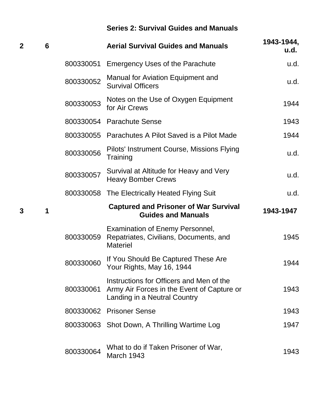# **Series 2: Survival Guides and Manuals**

| 2 | 6 |           | <b>Aerial Survival Guides and Manuals</b>                                                                              | 1943-1944,<br>u.d. |
|---|---|-----------|------------------------------------------------------------------------------------------------------------------------|--------------------|
|   |   | 800330051 | <b>Emergency Uses of the Parachute</b>                                                                                 | u.d.               |
|   |   | 800330052 | Manual for Aviation Equipment and<br><b>Survival Officers</b>                                                          | u.d.               |
|   |   | 800330053 | Notes on the Use of Oxygen Equipment<br>for Air Crews                                                                  | 1944               |
|   |   | 800330054 | <b>Parachute Sense</b>                                                                                                 | 1943               |
|   |   | 800330055 | Parachutes A Pilot Saved is a Pilot Made                                                                               | 1944               |
|   |   | 800330056 | Pilots' Instrument Course, Missions Flying<br>Training                                                                 | u.d.               |
|   |   | 800330057 | Survival at Altitude for Heavy and Very<br><b>Heavy Bomber Crews</b>                                                   | u.d.               |
|   |   | 800330058 | The Electrically Heated Flying Suit                                                                                    | u.d.               |
|   |   |           |                                                                                                                        |                    |
| 3 | 1 |           | <b>Captured and Prisoner of War Survival</b><br><b>Guides and Manuals</b>                                              | 1943-1947          |
|   |   | 800330059 | <b>Examination of Enemy Personnel,</b><br>Repatriates, Civilians, Documents, and<br><b>Materiel</b>                    | 1945               |
|   |   | 800330060 | If You Should Be Captured These Are<br>Your Rights, May 16, 1944                                                       | 1944               |
|   |   | 800330061 | Instructions for Officers and Men of the<br>Army Air Forces in the Event of Capture or<br>Landing in a Neutral Country | 1943               |
|   |   |           | 800330062 Prisoner Sense                                                                                               | 1943               |
|   |   |           | 800330063 Shot Down, A Thrilling Wartime Log                                                                           | 1947               |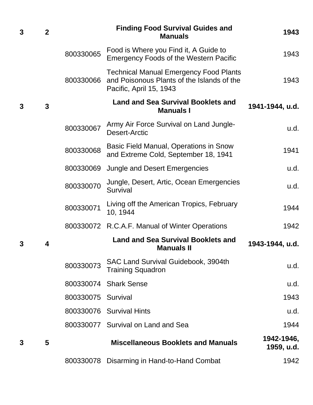| 3 | $\overline{2}$ |                    | <b>Finding Food Survival Guides and</b><br><b>Manuals</b>                                                              | 1943                     |
|---|----------------|--------------------|------------------------------------------------------------------------------------------------------------------------|--------------------------|
|   |                | 800330065          | Food is Where you Find it, A Guide to<br><b>Emergency Foods of the Western Pacific</b>                                 | 1943                     |
|   |                | 800330066          | <b>Technical Manual Emergency Food Plants</b><br>and Poisonous Plants of the Islands of the<br>Pacific, April 15, 1943 | 1943                     |
| 3 | 3              |                    | <b>Land and Sea Survival Booklets and</b><br><b>Manuals I</b>                                                          | 1941-1944, u.d.          |
|   |                | 800330067          | Army Air Force Survival on Land Jungle-<br>Desert-Arctic                                                               | u.d.                     |
|   |                | 800330068          | Basic Field Manual, Operations in Snow<br>and Extreme Cold, September 18, 1941                                         | 1941                     |
|   |                | 800330069          | Jungle and Desert Emergencies                                                                                          | u.d.                     |
|   |                | 800330070          | Jungle, Desert, Artic, Ocean Emergencies<br>Survival                                                                   | u.d.                     |
|   |                | 800330071          | Living off the American Tropics, February<br>10, 1944                                                                  | 1944                     |
|   |                |                    | 800330072 R.C.A.F. Manual of Winter Operations                                                                         | 1942                     |
| 3 | 4              |                    | <b>Land and Sea Survival Booklets and</b><br><b>Manuals II</b>                                                         | 1943-1944, u.d.          |
|   |                | 800330073          | SAC Land Survival Guidebook, 3904th<br><b>Training Squadron</b>                                                        | u.d.                     |
|   |                |                    | 800330074 Shark Sense                                                                                                  | u.d.                     |
|   |                | 800330075 Survival |                                                                                                                        | 1943                     |
|   |                |                    | 800330076 Survival Hints                                                                                               | u.d.                     |
|   |                |                    | 800330077 Survival on Land and Sea                                                                                     | 1944                     |
| 3 | 5              |                    | <b>Miscellaneous Booklets and Manuals</b>                                                                              | 1942-1946,<br>1959, u.d. |
|   |                | 800330078          | Disarming in Hand-to-Hand Combat                                                                                       | 1942                     |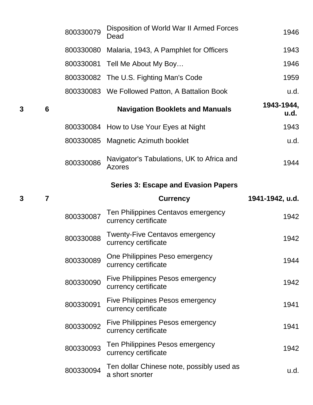|   |   | 800330079 | Disposition of World War II Armed Forces<br>Dead              | 1946               |
|---|---|-----------|---------------------------------------------------------------|--------------------|
|   |   | 800330080 | Malaria, 1943, A Pamphlet for Officers                        | 1943               |
|   |   |           | 800330081 Tell Me About My Boy                                | 1946               |
|   |   | 800330082 | The U.S. Fighting Man's Code                                  | 1959               |
|   |   |           | 800330083 We Followed Patton, A Battalion Book                | u.d.               |
| 3 | 6 |           | <b>Navigation Booklets and Manuals</b>                        | 1943-1944,<br>u.d. |
|   |   | 800330084 | How to Use Your Eyes at Night                                 | 1943               |
|   |   |           | 800330085 Magnetic Azimuth booklet                            | u.d.               |
|   |   | 800330086 | Navigator's Tabulations, UK to Africa and<br><b>Azores</b>    | 1944               |
|   |   |           | <b>Series 3: Escape and Evasion Papers</b>                    |                    |
| 3 | 7 |           | <b>Currency</b>                                               | 1941-1942, u.d.    |
|   |   |           |                                                               |                    |
|   |   | 800330087 | Ten Philippines Centavos emergency<br>currency certificate    | 1942               |
|   |   | 800330088 | <b>Twenty-Five Centavos emergency</b><br>currency certificate | 1942               |
|   |   | 800330089 | One Philippines Peso emergency<br>currency certificate        | 1944               |
|   |   | 800330090 | Five Philippines Pesos emergency<br>currency certificate      | 1942               |
|   |   | 800330091 | Five Philippines Pesos emergency<br>currency certificate      | 1941               |
|   |   | 800330092 | Five Philippines Pesos emergency<br>currency certificate      | 1941               |
|   |   | 800330093 | Ten Philippines Pesos emergency<br>currency certificate       | 1942               |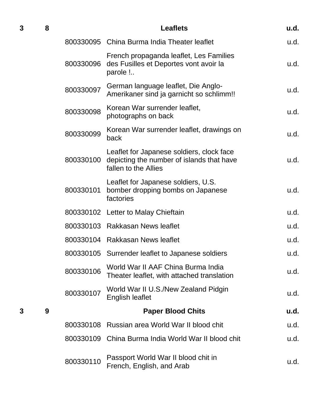| 3 | 8 |           | <b>Leaflets</b>                                                                                                | u.d. |
|---|---|-----------|----------------------------------------------------------------------------------------------------------------|------|
|   |   |           | 800330095 China Burma India Theater leaflet                                                                    | u.d. |
|   |   | 800330096 | French propaganda leaflet, Les Families<br>des Fusilles et Deportes vont avoir la<br>parole !                  | u.d. |
|   |   | 800330097 | German language leaflet, Die Anglo-<br>Amerikaner sind ja garnicht so schlimm!!                                | u.d. |
|   |   | 800330098 | Korean War surrender leaflet,<br>photographs on back                                                           | u.d. |
|   |   | 800330099 | Korean War surrender leaflet, drawings on<br>back                                                              | u.d. |
|   |   | 800330100 | Leaflet for Japanese soldiers, clock face<br>depicting the number of islands that have<br>fallen to the Allies | u.d. |
|   |   | 800330101 | Leaflet for Japanese soldiers, U.S.<br>bomber dropping bombs on Japanese<br>factories                          | u.d. |
|   |   |           | 800330102 Letter to Malay Chieftain                                                                            | u.d. |
|   |   |           | 800330103 Rakkasan News leaflet                                                                                | u.d. |
|   |   |           | 800330104 Rakkasan News leaflet                                                                                | u.d. |
|   |   |           | 800330105 Surrender leaflet to Japanese soldiers                                                               | u.d. |
|   |   | 800330106 | World War II AAF China Burma India<br>Theater leaflet, with attached translation                               | u.d. |
|   |   | 800330107 | World War II U.S./New Zealand Pidgin<br><b>English leaflet</b>                                                 | u.d. |
| 3 | 9 |           | <b>Paper Blood Chits</b>                                                                                       | u.d. |
|   |   | 800330108 | Russian area World War II blood chit                                                                           | u.d. |
|   |   |           | 800330109 China Burma India World War II blood chit                                                            | u.d. |
|   |   | 800330110 | Passport World War II blood chit in<br>French, English, and Arab                                               | u.d. |